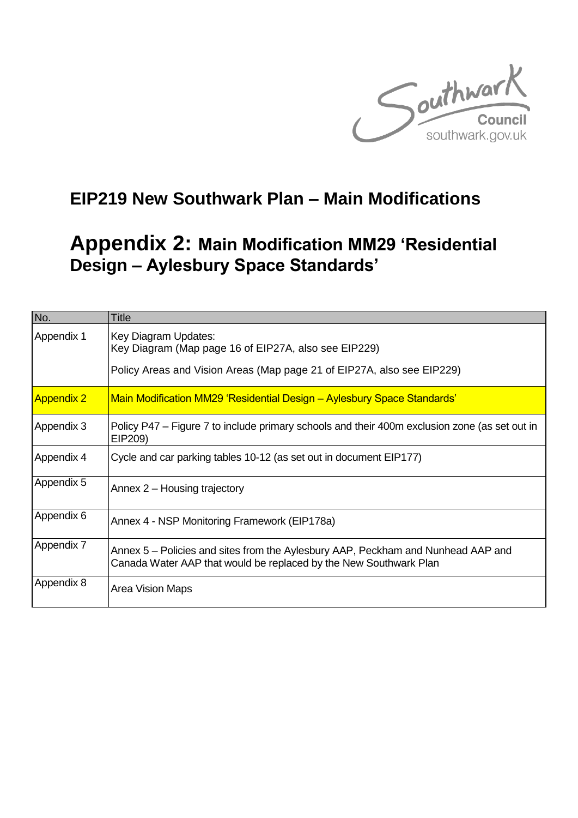

## **EIP219 New Southwark Plan – Main Modifications**

## **Appendix 2: Main Modification MM29 'Residential Design – Aylesbury Space Standards'**

| No.               | <b>Title</b>                                                                                                                                           |  |  |
|-------------------|--------------------------------------------------------------------------------------------------------------------------------------------------------|--|--|
| Appendix 1        | Key Diagram Updates:<br>Key Diagram (Map page 16 of EIP27A, also see EIP229)<br>Policy Areas and Vision Areas (Map page 21 of EIP27A, also see EIP229) |  |  |
| <b>Appendix 2</b> | Main Modification MM29 'Residential Design - Aylesbury Space Standards'                                                                                |  |  |
| Appendix 3        | Policy P47 – Figure 7 to include primary schools and their 400m exclusion zone (as set out in<br>EIP209)                                               |  |  |
| Appendix 4        | Cycle and car parking tables 10-12 (as set out in document EIP177)                                                                                     |  |  |
| Appendix 5        | Annex 2 – Housing trajectory                                                                                                                           |  |  |
| Appendix 6        | Annex 4 - NSP Monitoring Framework (EIP178a)                                                                                                           |  |  |
| Appendix 7        | Annex 5 – Policies and sites from the Aylesbury AAP, Peckham and Nunhead AAP and<br>Canada Water AAP that would be replaced by the New Southwark Plan  |  |  |
| Appendix 8        | <b>Area Vision Maps</b>                                                                                                                                |  |  |